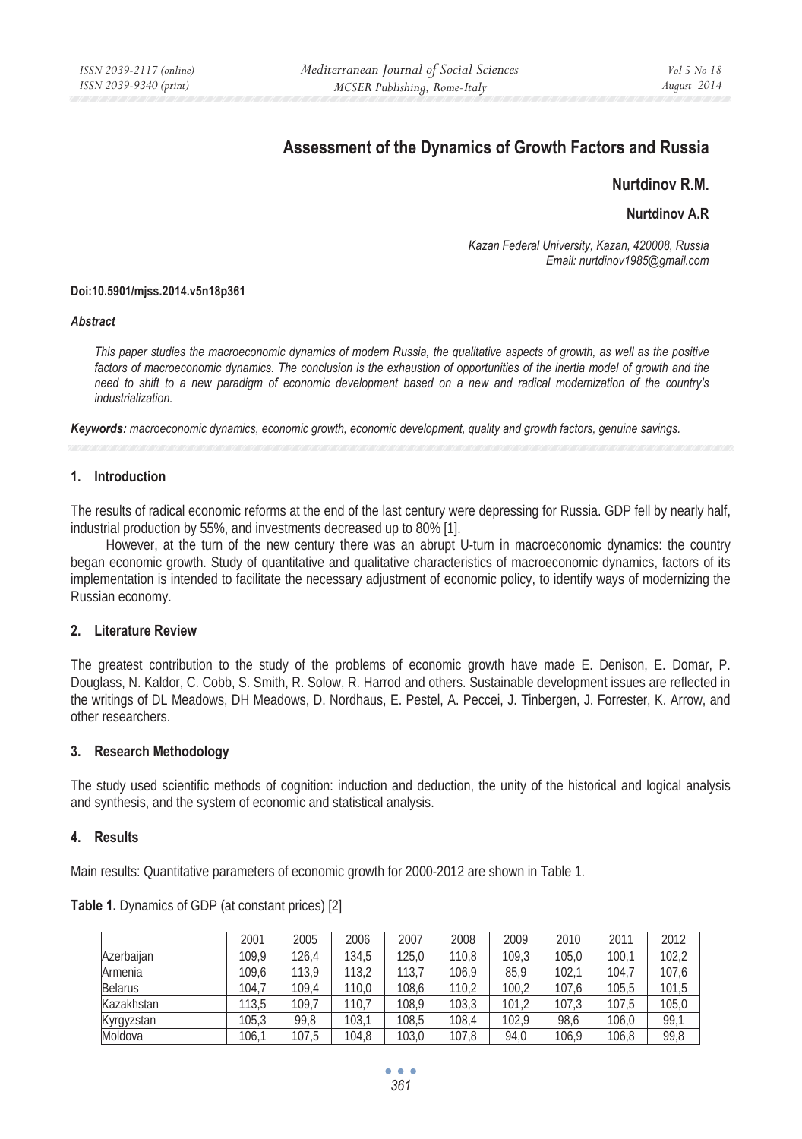# **Assessment of the Dynamics of Growth Factors and Russia**

## **Nurtdinov R.M.**

## **Nurtdinov A.R**

*Kazan Federal University, Kazan, 420008, Russia Email: nurtdinov1985@gmail.com* 

### **Doi:10.5901/mjss.2014.v5n18p361**

#### *Abstract*

*This paper studies the macroeconomic dynamics of modern Russia, the qualitative aspects of growth, as well as the positive* factors of macroeconomic dynamics. The conclusion is the exhaustion of opportunities of the inertia model of growth and the *need to shift to a new paradigm of economic development based on a new and radical modernization of the country's industrialization.* 

*Keywords: macroeconomic dynamics, economic growth, economic development, quality and growth factors, genuine savings.*

## **1. Introduction**

The results of radical economic reforms at the end of the last century were depressing for Russia. GDP fell by nearly half, industrial production by 55%, and investments decreased up to 80% [1].

However, at the turn of the new century there was an abrupt U-turn in macroeconomic dynamics: the country began economic growth. Study of quantitative and qualitative characteristics of macroeconomic dynamics, factors of its implementation is intended to facilitate the necessary adjustment of economic policy, to identify ways of modernizing the Russian economy.

### **2. Literature Review**

The greatest contribution to the study of the problems of economic growth have made E. Denison, E. Domar, P. Douglass, N. Kaldor, C. Cobb, S. Smith, R. Solow, R. Harrod and others. Sustainable development issues are reflected in the writings of DL Meadows, DH Meadows, D. Nordhaus, E. Pestel, A. Peccei, J. Tinbergen, J. Forrester, K. Arrow, and other researchers.

## **3. Research Methodology**

The study used scientific methods of cognition: induction and deduction, the unity of the historical and logical analysis and synthesis, and the system of economic and statistical analysis.

## **4. Results**

Main results: Quantitative parameters of economic growth for 2000-2012 are shown in Table 1.

|                | 2001  | 2005  | 2006  | 2007  | 2008  | 2009  | 2010  | 2011  | 2012  |
|----------------|-------|-------|-------|-------|-------|-------|-------|-------|-------|
| Azerbaiian     | 109.9 | 126,4 | 134.5 | 125.0 | 110.8 | 109.3 | 105.0 | 100.1 | 102.2 |
| Armenia        | 109.6 | 113.9 | 113.2 | 113.7 | 106.9 | 85.9  | 102.7 | 104.7 | 107,6 |
| <b>Belarus</b> | 104.7 | 109.4 | 110.0 | 108,6 | 110.2 | 100.2 | 107.6 | 105,5 | 101.5 |
| Kazakhstan     | 113.5 | 109.7 | 110.7 | 108.9 | 103.3 | 101.2 | 107.3 | 107,5 | 105.0 |
| Kyrgyzstan     | 105.3 | 99.8  | 103.1 | 108,5 | 108.4 | 102.9 | 98.6  | 106,0 | 99.1  |
| Moldova        | 106.1 | 107.5 | 104.8 | 103.0 | 107.8 | 94.0  | 106.9 | 106.8 | 99,8  |

**Table 1.** Dynamics of GDP (at constant prices) [2]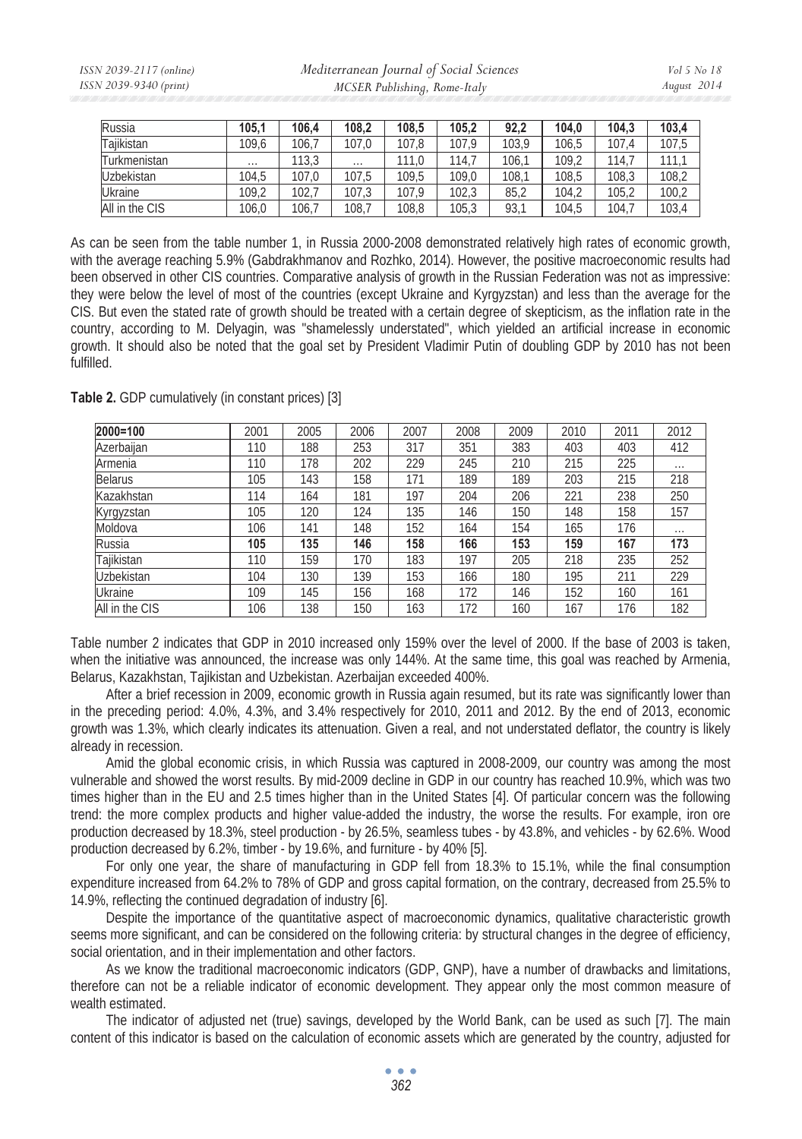| Russia         | 105,1    | 106.4 | 108.2    | 108,5 | 105.2 | 92.2  | 104.0 | 104.3 | 103,4 |
|----------------|----------|-------|----------|-------|-------|-------|-------|-------|-------|
| Taiikistan     | 109.6    | 106.7 | 107.0    | 107.8 | 107.9 | 103.9 | 106.5 | 107.4 | 107,5 |
| Turkmenistan   | $\cdots$ | 113.3 | $\cdots$ | 111.0 | 114.7 | 106.1 | 109.2 | 114.7 |       |
| Uzbekistan     | 104.5    | 107.0 | 107.5    | 109.5 | 109.0 | 108.1 | 108.5 | 108.3 | 108,2 |
| <b>Ukraine</b> | 109.2    | 102.7 | 107.3    | 107.9 | 102.3 | 85.2  | 104.2 | 105.2 | 100,2 |
| All in the CIS | 106.0    | 106.7 | 108.7    | 108,8 | 105,3 | 93,1  | 104.5 | 104.7 | 103,4 |

As can be seen from the table number 1, in Russia 2000-2008 demonstrated relatively high rates of economic growth, with the average reaching 5.9% (Gabdrakhmanov and Rozhko, 2014). However, the positive macroeconomic results had been observed in other CIS countries. Comparative analysis of growth in the Russian Federation was not as impressive: they were below the level of most of the countries (except Ukraine and Kyrgyzstan) and less than the average for the CIS. But even the stated rate of growth should be treated with a certain degree of skepticism, as the inflation rate in the country, according to M. Delyagin, was "shamelessly understated", which yielded an artificial increase in economic growth. It should also be noted that the goal set by President Vladimir Putin of doubling GDP by 2010 has not been fulfilled.

**Table 2.** GDP cumulatively (in constant prices) [3]

| 2000=100       | 2001 | 2005 | 2006 | 2007 | 2008 | 2009 | 2010 | 2011 | 2012     |
|----------------|------|------|------|------|------|------|------|------|----------|
| Azerbaijan     | 110  | 188  | 253  | 317  | 351  | 383  | 403  | 403  | 412      |
| Armenia        | 110  | 178  | 202  | 229  | 245  | 210  | 215  | 225  | $\cdots$ |
| <b>Belarus</b> | 105  | 143  | 158  | 171  | 189  | 189  | 203  | 215  | 218      |
| Kazakhstan     | 114  | 164  | 181  | 197  | 204  | 206  | 221  | 238  | 250      |
| Kyrgyzstan     | 105  | 120  | 124  | 135  | 146  | 150  | 148  | 158  | 157      |
| Moldova        | 106  | 141  | 148  | 152  | 164  | 154  | 165  | 176  | $\cdots$ |
| Russia         | 105  | 135  | 146  | 158  | 166  | 153  | 159  | 167  | 173      |
| Tajikistan     | 110  | 159  | 170  | 183  | 197  | 205  | 218  | 235  | 252      |
| Uzbekistan     | 104  | 130  | 139  | 153  | 166  | 180  | 195  | 211  | 229      |
| Ukraine        | 109  | 145  | 156  | 168  | 172  | 146  | 152  | 160  | 161      |
| All in the CIS | 106  | 138  | 150  | 163  | 172  | 160  | 167  | 176  | 182      |

Table number 2 indicates that GDP in 2010 increased only 159% over the level of 2000. If the base of 2003 is taken, when the initiative was announced, the increase was only 144%. At the same time, this goal was reached by Armenia, Belarus, Kazakhstan, Tajikistan and Uzbekistan. Azerbaijan exceeded 400%.

After a brief recession in 2009, economic growth in Russia again resumed, but its rate was significantly lower than in the preceding period: 4.0%, 4.3%, and 3.4% respectively for 2010, 2011 and 2012. By the end of 2013, economic growth was 1.3%, which clearly indicates its attenuation. Given a real, and not understated deflator, the country is likely already in recession.

Amid the global economic crisis, in which Russia was captured in 2008-2009, our country was among the most vulnerable and showed the worst results. By mid-2009 decline in GDP in our country has reached 10.9%, which was two times higher than in the EU and 2.5 times higher than in the United States [4]. Of particular concern was the following trend: the more complex products and higher value-added the industry, the worse the results. For example, iron ore production decreased by 18.3%, steel production - by 26.5%, seamless tubes - by 43.8%, and vehicles - by 62.6%. Wood production decreased by 6.2%, timber - by 19.6%, and furniture - by 40% [5].

For only one year, the share of manufacturing in GDP fell from 18.3% to 15.1%, while the final consumption expenditure increased from 64.2% to 78% of GDP and gross capital formation, on the contrary, decreased from 25.5% to 14.9%, reflecting the continued degradation of industry [6].

Despite the importance of the quantitative aspect of macroeconomic dynamics, qualitative characteristic growth seems more significant, and can be considered on the following criteria: by structural changes in the degree of efficiency, social orientation, and in their implementation and other factors.

As we know the traditional macroeconomic indicators (GDP, GNP), have a number of drawbacks and limitations, therefore can not be a reliable indicator of economic development. They appear only the most common measure of wealth estimated.

The indicator of adjusted net (true) savings, developed by the World Bank, can be used as such [7]. The main content of this indicator is based on the calculation of economic assets which are generated by the country, adjusted for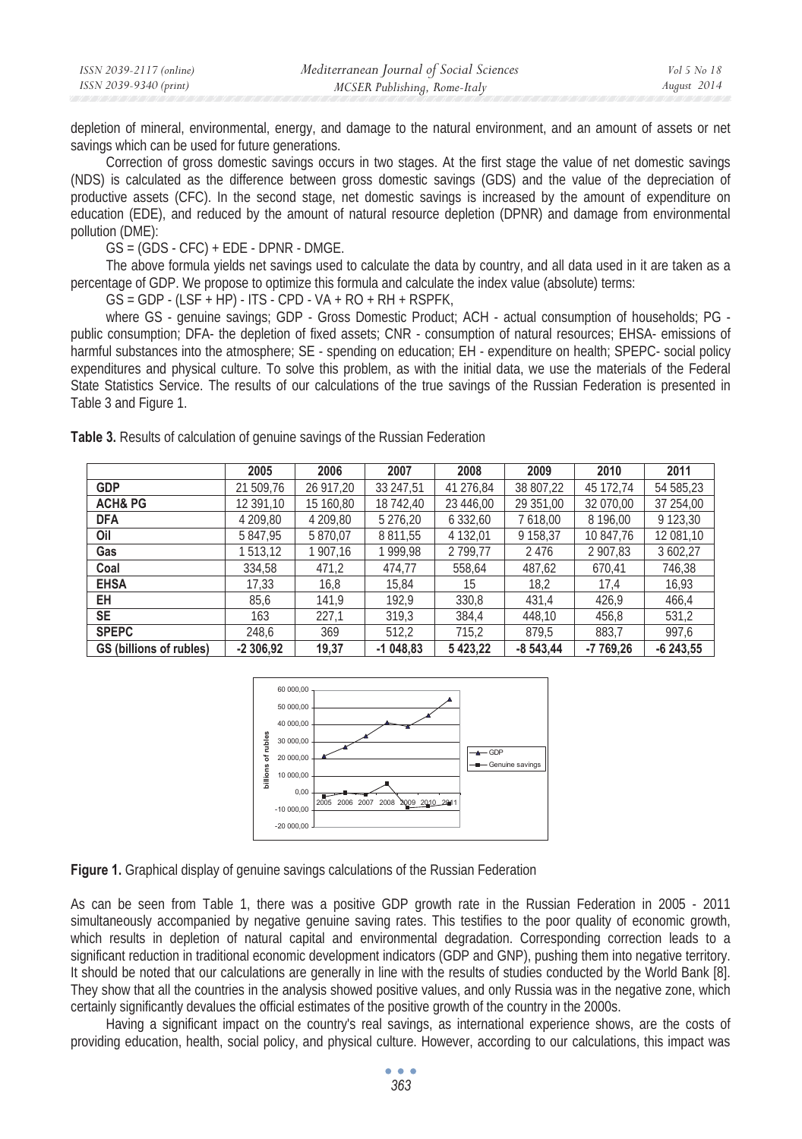| ISSN 2039-2117 (online) | Mediterranean Journal of Social Sciences | Vol 5 No 18 |
|-------------------------|------------------------------------------|-------------|
| ISSN 2039-9340 (print)  | MCSER Publishing, Rome-Italy             | August 2014 |

depletion of mineral, environmental, energy, and damage to the natural environment, and an amount of assets or net savings which can be used for future generations.

Correction of gross domestic savings occurs in two stages. At the first stage the value of net domestic savings (NDS) is calculated as the difference between gross domestic savings (GDS) and the value of the depreciation of productive assets (CFC). In the second stage, net domestic savings is increased by the amount of expenditure on education (EDE), and reduced by the amount of natural resource depletion (DPNR) and damage from environmental pollution (DME):

GS = (GDS - CFC) + EDE - DPNR - DMGE.

The above formula yields net savings used to calculate the data by country, and all data used in it are taken as a percentage of GDP. We propose to optimize this formula and calculate the index value (absolute) terms:

 $GS = GDP - (LSF + HP) - ITS - CPD - VA + RO + RH + RSPFK$ 

where GS - genuine savings; GDP - Gross Domestic Product; ACH - actual consumption of households; PG public consumption; DFA- the depletion of fixed assets; CNR - consumption of natural resources; EHSA- emissions of harmful substances into the atmosphere; SE - spending on education; EH - expenditure on health; SPEPC- social policy expenditures and physical culture. To solve this problem, as with the initial data, we use the materials of the Federal State Statistics Service. The results of our calculations of the true savings of the Russian Federation is presented in Table 3 and Figure 1.

|                         | 2005       | 2006      | 2007       | 2008          | 2009        | 2010      | 2011       |
|-------------------------|------------|-----------|------------|---------------|-------------|-----------|------------|
| <b>GDP</b>              | 21 509,76  | 26 917.20 | 33 247.51  | 41 276.84     | 38 807,22   | 45 172.74 | 54 585,23  |
| <b>ACH&amp; PG</b>      | 12 391.10  | 15 160.80 | 18 742.40  | 23 446.00     | 29 351.00   | 32 070.00 | 37 254.00  |
| <b>DFA</b>              | 4 209,80   | 4 209,80  | 5 276,20   | 6 3 3 2 , 6 0 | 7 618,00    | 8 196.00  | 9 123,30   |
| Oil                     | 5847.95    | 5 870,07  | 8 8 1 1.55 | 4 132,01      | 9 158.37    | 10 847.76 | 12 081,10  |
| Gas                     | 513.12     | 1907,16   | 1999.98    | 2 799.77      | 2476        | 2 907.83  | 3 602,27   |
| Coal                    | 334.58     | 471,2     | 474.77     | 558,64        | 487,62      | 670.41    | 746,38     |
| <b>EHSA</b>             | 17,33      | 16,8      | 15,84      | 15            | 18,2        | 17.4      | 16,93      |
| EН                      | 85,6       | 141,9     | 192,9      | 330,8         | 431,4       | 426,9     | 466,4      |
| <b>SE</b>               | 163        | 227,1     | 319,3      | 384.4         | 448.10      | 456,8     | 531,2      |
| <b>SPEPC</b>            | 248.6      | 369       | 512,2      | 715,2         | 879.5       | 883.7     | 997,6      |
| GS (billions of rubles) | $-2306,92$ | 19,37     | $-1048.83$ | 5423,22       | $-8,543,44$ | -7 769,26 | $-6243,55$ |

**Table 3.** Results of calculation of genuine savings of the Russian Federation



**Figure 1.** Graphical display of genuine savings calculations of the Russian Federation

As can be seen from Table 1, there was a positive GDP growth rate in the Russian Federation in 2005 - 2011 simultaneously accompanied by negative genuine saving rates. This testifies to the poor quality of economic growth, which results in depletion of natural capital and environmental degradation. Corresponding correction leads to a significant reduction in traditional economic development indicators (GDP and GNP), pushing them into negative territory. It should be noted that our calculations are generally in line with the results of studies conducted by the World Bank [8]. They show that all the countries in the analysis showed positive values, and only Russia was in the negative zone, which certainly significantly devalues the official estimates of the positive growth of the country in the 2000s.

Having a significant impact on the country's real savings, as international experience shows, are the costs of providing education, health, social policy, and physical culture. However, according to our calculations, this impact was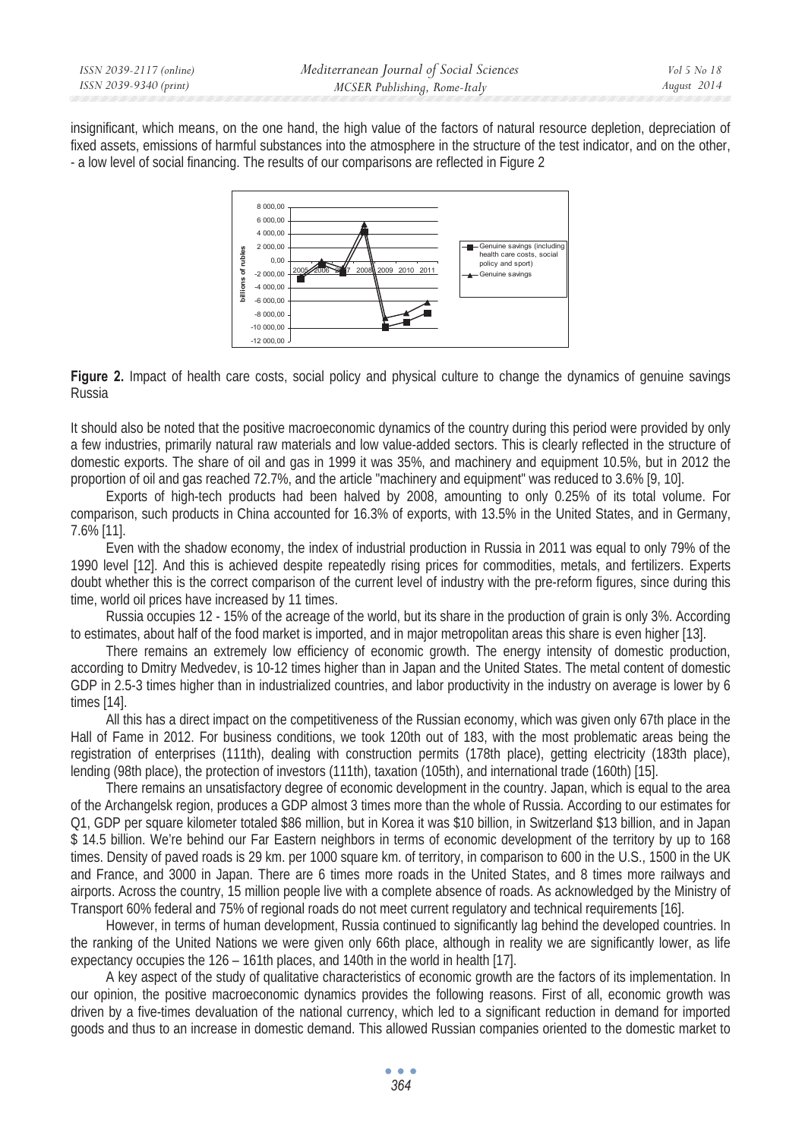insignificant, which means, on the one hand, the high value of the factors of natural resource depletion, depreciation of fixed assets, emissions of harmful substances into the atmosphere in the structure of the test indicator, and on the other, - a low level of social financing. The results of our comparisons are reflected in Figure 2



Figure 2. Impact of health care costs, social policy and physical culture to change the dynamics of genuine savings Russia

It should also be noted that the positive macroeconomic dynamics of the country during this period were provided by only a few industries, primarily natural raw materials and low value-added sectors. This is clearly reflected in the structure of domestic exports. The share of oil and gas in 1999 it was 35%, and machinery and equipment 10.5%, but in 2012 the proportion of oil and gas reached 72.7%, and the article "machinery and equipment" was reduced to 3.6% [9, 10].

Exports of high-tech products had been halved by 2008, amounting to only 0.25% of its total volume. For comparison, such products in China accounted for 16.3% of exports, with 13.5% in the United States, and in Germany, 7.6% [11].

Even with the shadow economy, the index of industrial production in Russia in 2011 was equal to only 79% of the 1990 level [12]. And this is achieved despite repeatedly rising prices for commodities, metals, and fertilizers. Experts doubt whether this is the correct comparison of the current level of industry with the pre-reform figures, since during this time, world oil prices have increased by 11 times.

Russia occupies 12 - 15% of the acreage of the world, but its share in the production of grain is only 3%. According to estimates, about half of the food market is imported, and in major metropolitan areas this share is even higher [13].

There remains an extremely low efficiency of economic growth. The energy intensity of domestic production, according to Dmitry Medvedev, is 10-12 times higher than in Japan and the United States. The metal content of domestic GDP in 2.5-3 times higher than in industrialized countries, and labor productivity in the industry on average is lower by 6 times [14].

All this has a direct impact on the competitiveness of the Russian economy, which was given only 67th place in the Hall of Fame in 2012. For business conditions, we took 120th out of 183, with the most problematic areas being the registration of enterprises (111th), dealing with construction permits (178th place), getting electricity (183th place), lending (98th place), the protection of investors (111th), taxation (105th), and international trade (160th) [15].

There remains an unsatisfactory degree of economic development in the country. Japan, which is equal to the area of the Archangelsk region, produces a GDP almost 3 times more than the whole of Russia. According to our estimates for Q1, GDP per square kilometer totaled \$86 million, but in Korea it was \$10 billion, in Switzerland \$13 billion, and in Japan \$ 14.5 billion. We're behind our Far Eastern neighbors in terms of economic development of the territory by up to 168 times. Density of paved roads is 29 km. per 1000 square km. of territory, in comparison to 600 in the U.S., 1500 in the UK and France, and 3000 in Japan. There are 6 times more roads in the United States, and 8 times more railways and airports. Across the country, 15 million people live with a complete absence of roads. As acknowledged by the Ministry of Transport 60% federal and 75% of regional roads do not meet current regulatory and technical requirements [16].

However, in terms of human development, Russia continued to significantly lag behind the developed countries. In the ranking of the United Nations we were given only 66th place, although in reality we are significantly lower, as life expectancy occupies the 126 – 161th places, and 140th in the world in health [17].

A key aspect of the study of qualitative characteristics of economic growth are the factors of its implementation. In our opinion, the positive macroeconomic dynamics provides the following reasons. First of all, economic growth was driven by a five-times devaluation of the national currency, which led to a significant reduction in demand for imported goods and thus to an increase in domestic demand. This allowed Russian companies oriented to the domestic market to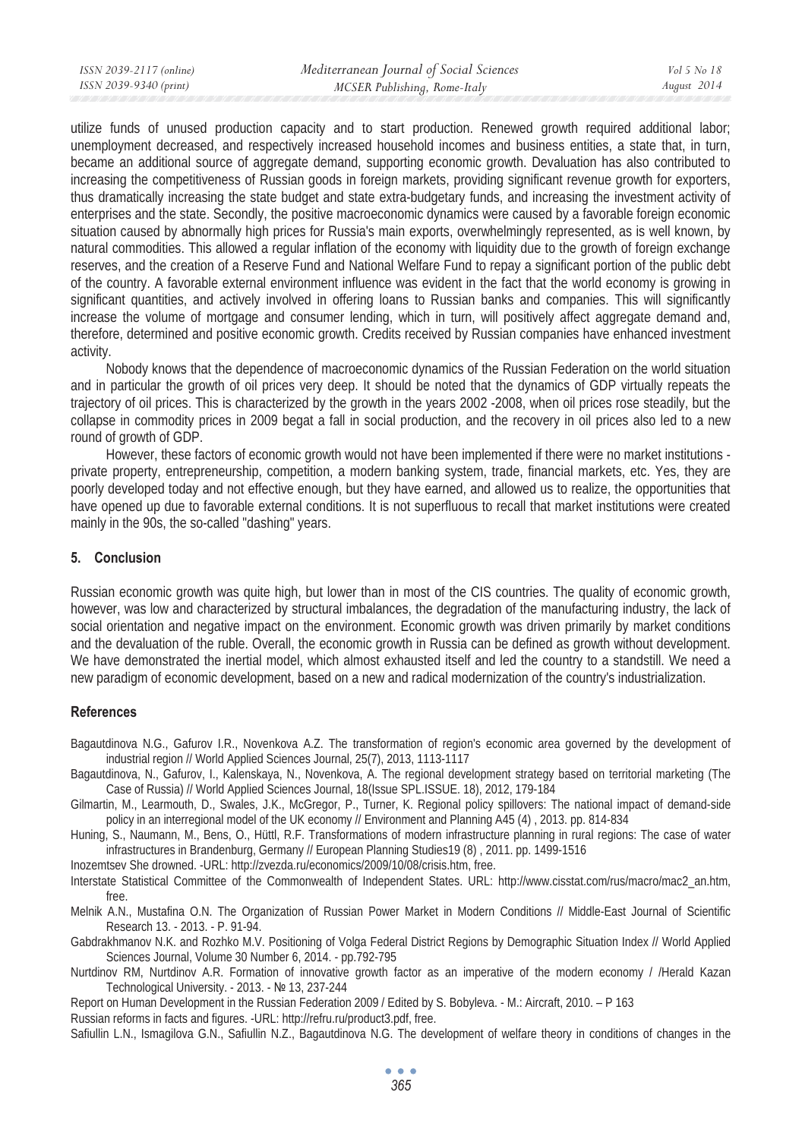utilize funds of unused production capacity and to start production. Renewed growth required additional labor; unemployment decreased, and respectively increased household incomes and business entities, a state that, in turn, became an additional source of aggregate demand, supporting economic growth. Devaluation has also contributed to increasing the competitiveness of Russian goods in foreign markets, providing significant revenue growth for exporters, thus dramatically increasing the state budget and state extra-budgetary funds, and increasing the investment activity of enterprises and the state. Secondly, the positive macroeconomic dynamics were caused by a favorable foreign economic situation caused by abnormally high prices for Russia's main exports, overwhelmingly represented, as is well known, by natural commodities. This allowed a regular inflation of the economy with liquidity due to the growth of foreign exchange reserves, and the creation of a Reserve Fund and National Welfare Fund to repay a significant portion of the public debt of the country. A favorable external environment influence was evident in the fact that the world economy is growing in significant quantities, and actively involved in offering loans to Russian banks and companies. This will significantly increase the volume of mortgage and consumer lending, which in turn, will positively affect aggregate demand and, therefore, determined and positive economic growth. Credits received by Russian companies have enhanced investment activity.

Nobody knows that the dependence of macroeconomic dynamics of the Russian Federation on the world situation and in particular the growth of oil prices very deep. It should be noted that the dynamics of GDP virtually repeats the trajectory of oil prices. This is characterized by the growth in the years 2002 -2008, when oil prices rose steadily, but the collapse in commodity prices in 2009 begat a fall in social production, and the recovery in oil prices also led to a new round of growth of GDP.

However, these factors of economic growth would not have been implemented if there were no market institutions private property, entrepreneurship, competition, a modern banking system, trade, financial markets, etc. Yes, they are poorly developed today and not effective enough, but they have earned, and allowed us to realize, the opportunities that have opened up due to favorable external conditions. It is not superfluous to recall that market institutions were created mainly in the 90s, the so-called "dashing" years.

## **5. Conclusion**

Russian economic growth was quite high, but lower than in most of the CIS countries. The quality of economic growth, however, was low and characterized by structural imbalances, the degradation of the manufacturing industry, the lack of social orientation and negative impact on the environment. Economic growth was driven primarily by market conditions and the devaluation of the ruble. Overall, the economic growth in Russia can be defined as growth without development. We have demonstrated the inertial model, which almost exhausted itself and led the country to a standstill. We need a new paradigm of economic development, based on a new and radical modernization of the country's industrialization.

## **References**

Bagautdinova N.G., Gafurov I.R., Novenkova A.Z. The transformation of region's economic area governed by the development of industrial region // World Applied Sciences Journal, 25(7), 2013, 1113-1117

Bagautdinova, N., Gafurov, I., Kalenskaya, N., Novenkova, A. The regional development strategy based on territorial marketing (The Case of Russia) // World Applied Sciences Journal, 18(Issue SPL.ISSUE. 18), 2012, 179-184

Gilmartin, M., Learmouth, D., Swales, J.K., McGregor, P., Turner, K. Regional policy spillovers: The national impact of demand-side policy in an interregional model of the UK economy // Environment and Planning A45 (4) , 2013. pp. 814-834

Huning, S., Naumann, M., Bens, O., Hüttl, R.F. Transformations of modern infrastructure planning in rural regions: The case of water infrastructures in Brandenburg, Germany // European Planning Studies19 (8) , 2011. pp. 1499-1516

Inozemtsev She drowned. -URL: http://zvezda.ru/economics/2009/10/08/crisis.htm, free.

Interstate Statistical Committee of the Commonwealth of Independent States. URL: http://www.cisstat.com/rus/macro/mac2\_an.htm, free.

Melnik A.N., Mustafina O.N. The Organization of Russian Power Market in Modern Conditions // Middle-East Journal of Scientific Research 13. - 2013. - P. 91-94.

Gabdrakhmanov N.K. and Rozhko M.V. Positioning of Volga Federal District Regions by Demographic Situation Index // World Applied Sciences Journal, Volume 30 Number 6, 2014. - pp.792-795

Nurtdinov RM, Nurtdinov A.R. Formation of innovative growth factor as an imperative of the modern economy / /Herald Kazan Technological University. - 2013. - № 13, 237-244

Report on Human Development in the Russian Federation 2009 / Edited by S. Bobyleva. - M.: Aircraft, 2010. – P 163

Russian reforms in facts and figures. -URL: http://refru.ru/product3.pdf, free.

Safiullin L.N., Ismagilova G.N., Safiullin N.Z., Bagautdinova N.G. The development of welfare theory in conditions of changes in the